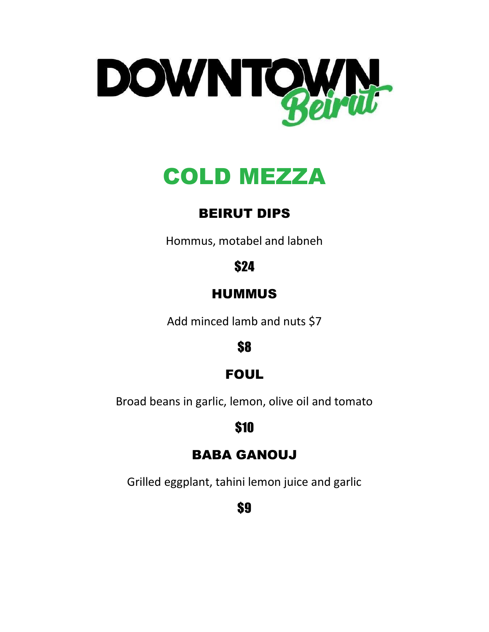

# COLD MEZZA

# BEIRUT DIPS

Hommus, motabel and labneh

# \$24

# **HUMMUS**

Add minced lamb and nuts \$7

\$8

# FOUL

Broad beans in garlic, lemon, olive oil and tomato

## \$10

## BABA GANOUJ

Grilled eggplant, tahini lemon juice and garlic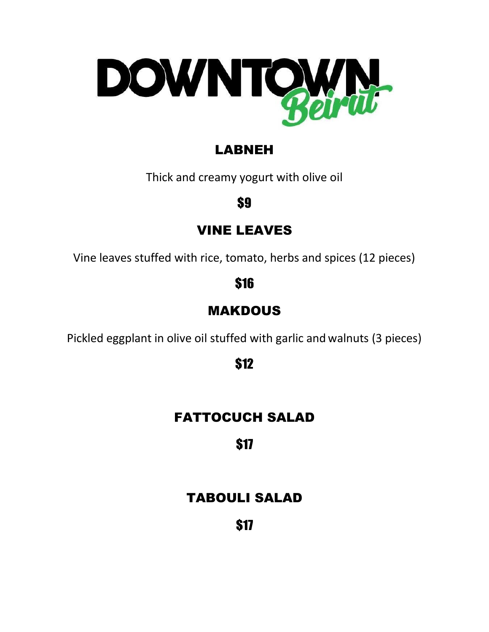

# LABNEH

Thick and creamy yogurt with olive oil

\$9

## VINE LEAVES

Vine leaves stuffed with rice, tomato, herbs and spices (12 pieces)

\$16

# MAKDOUS

Pickled eggplant in olive oil stuffed with garlic and walnuts (3 pieces)

\$12

# FATTOCUCH SALAD

# \$17

## TABOULI SALAD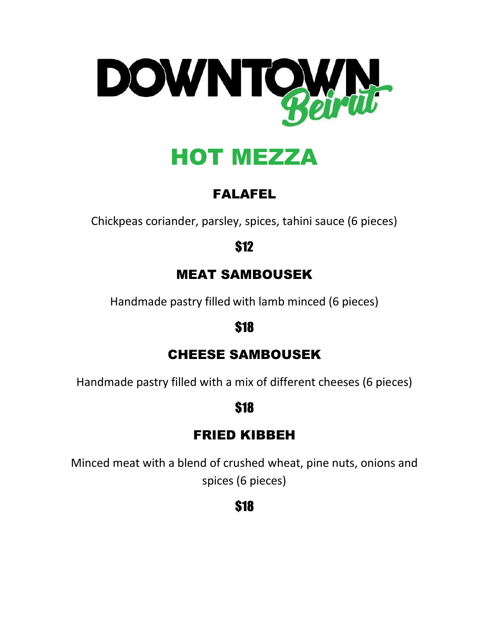

# HOT MEZZA

# FALAFEL

Chickpeas coriander, parsley, spices, tahini sauce (6 pieces)

\$12

## MEAT SAMBOUSEK

Handmade pastry filled with lamb minced (6 pieces)

#### \$18

## CHEESE SAMBOUSEK

Handmade pastry filled with a mix of different cheeses (6 pieces)

# \$18

# FRIED KIBBEH

Minced meat with a blend of crushed wheat, pine nuts, onions and spices (6 pieces)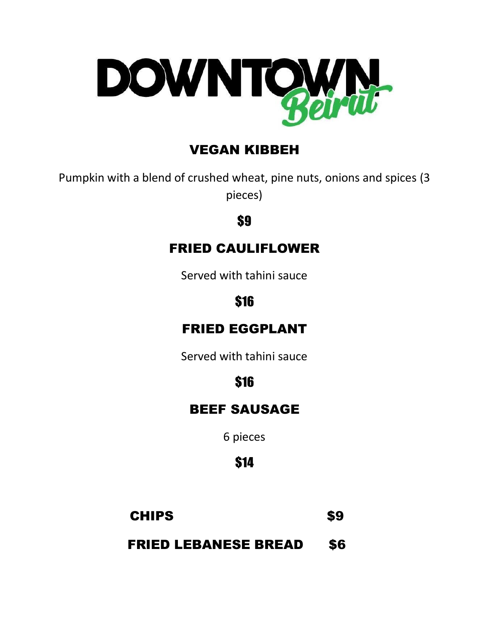

# VEGAN KIBBEH

Pumpkin with a blend of crushed wheat, pine nuts, onions and spices (3 pieces)

#### \$9

#### FRIED CAULIFLOWER

Served with tahini sauce

#### \$16

#### FRIED EGGPLANT

Served with tahini sauce

# \$16

#### BEEF SAUSAGE

6 pieces

# \$14

## CHIPS \$9

FRIED LEBANESE BREAD \$6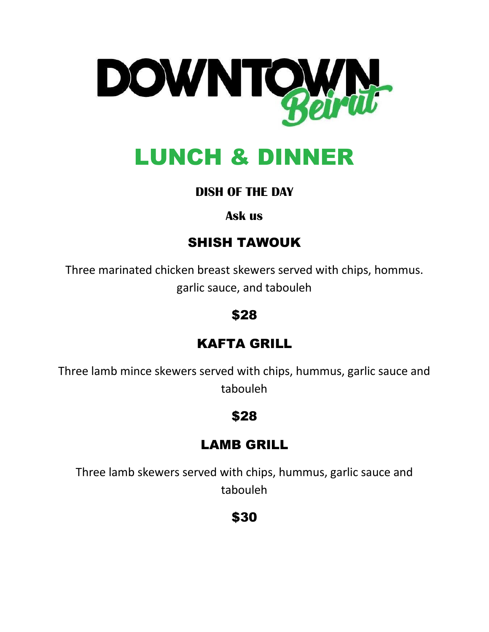

# LUNCH & DINNER

#### **DISH OF THE DAY**

#### **Ask us**

# SHISH TAWOUK

Three marinated chicken breast skewers served with chips, hommus. garlic sauce, and tabouleh

#### \$28

# KAFTA GRILL

Three lamb mince skewers served with chips, hummus, garlic sauce and tabouleh

#### \$28

## LAMB GRILL

Three lamb skewers served with chips, hummus, garlic sauce and tabouleh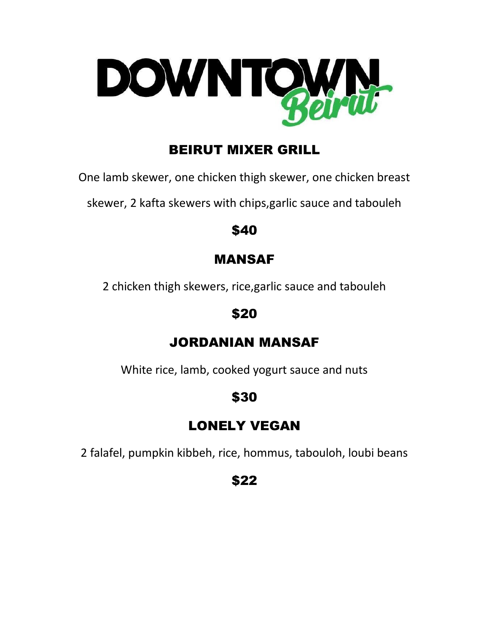

# BEIRUT MIXER GRILL

One lamb skewer, one chicken thigh skewer, one chicken breast

skewer, 2 kafta skewers with chips,garlic sauce and tabouleh

#### \$40

# MANSAF

2 chicken thigh skewers, rice,garlic sauce and tabouleh

## \$20

# JORDANIAN MANSAF

White rice, lamb, cooked yogurt sauce and nuts

# \$30

# LONELY VEGAN

2 falafel, pumpkin kibbeh, rice, hommus, tabouloh, loubi beans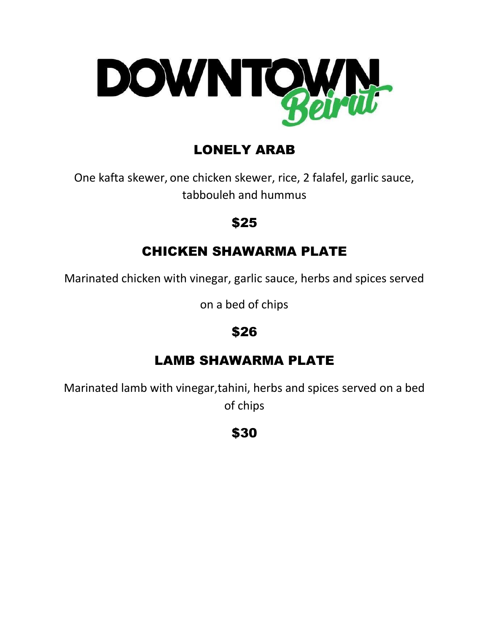

# LONELY ARAB

One kafta skewer, one chicken skewer, rice, 2 falafel, garlic sauce, tabbouleh and hummus

#### \$25

#### CHICKEN SHAWARMA PLATE

Marinated chicken with vinegar, garlic sauce, herbs and spices served

on a bed of chips

# \$26

## LAMB SHAWARMA PLATE

Marinated lamb with vinegar,tahini, herbs and spices served on a bed of chips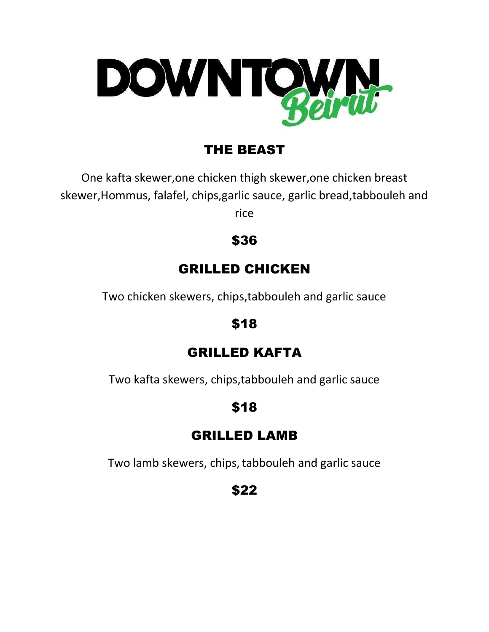

# THE BEAST

One kafta skewer,one chicken thigh skewer,one chicken breast skewer,Hommus, falafel, chips,garlic sauce, garlic bread,tabbouleh and rice

\$36

# GRILLED CHICKEN

Two chicken skewers, chips,tabbouleh and garlic sauce

#### \$18

#### GRILLED KAFTA

Two kafta skewers, chips,tabbouleh and garlic sauce

## \$18

## GRILLED LAMB

Two lamb skewers, chips, tabbouleh and garlic sauce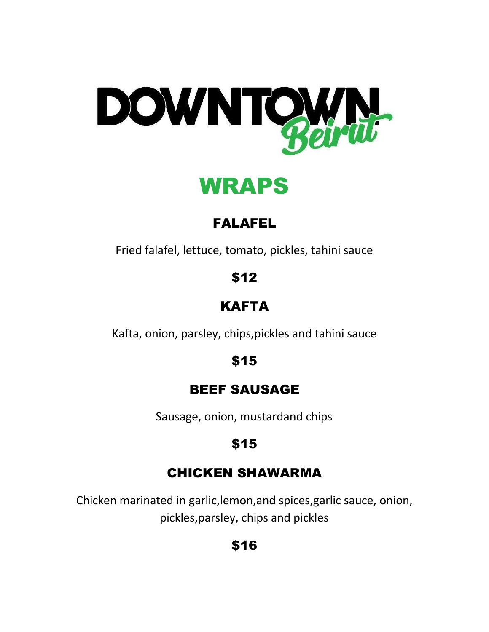

WRAPS

# FALAFEL

Fried falafel, lettuce, tomato, pickles, tahini sauce

\$12

# KAFTA

Kafta, onion, parsley, chips,pickles and tahini sauce

\$15

## BEEF SAUSAGE

Sausage, onion, mustardand chips

# \$15

# CHICKEN SHAWARMA

Chicken marinated in garlic,lemon,and spices,garlic sauce, onion, pickles,parsley, chips and pickles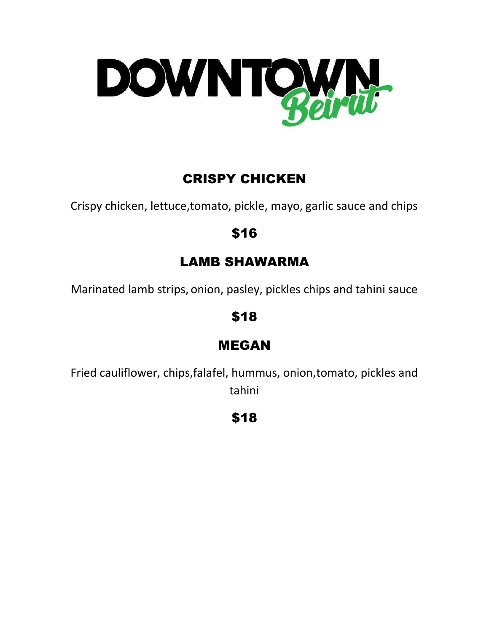

# CRISPY CHICKEN

Crispy chicken, lettuce,tomato, pickle, mayo, garlic sauce and chips

#### \$16

## LAMB SHAWARMA

Marinated lamb strips, onion, pasley, pickles chips and tahini sauce

\$18

#### MEGAN

Fried cauliflower, chips,falafel, hummus, onion,tomato, pickles and tahini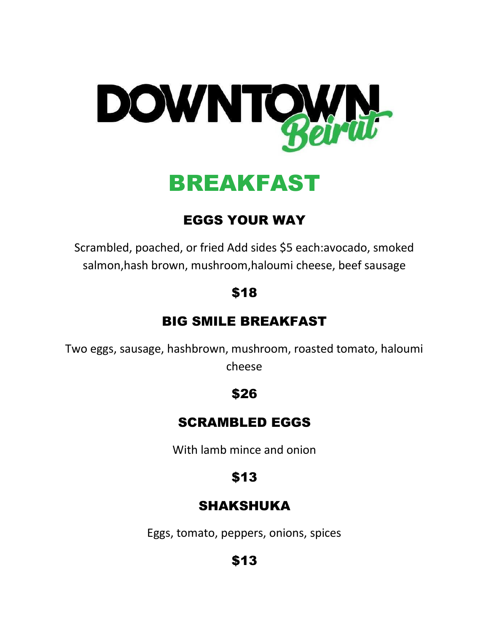

BREAKFAST

# EGGS YOUR WAY

Scrambled, poached, or fried Add sides \$5 each:avocado, smoked salmon,hash brown, mushroom,haloumi cheese, beef sausage

## \$18

#### BIG SMILE BREAKFAST

Two eggs, sausage, hashbrown, mushroom, roasted tomato, haloumi cheese

#### \$26

#### SCRAMBLED EGGS

With lamb mince and onion

## \$13

#### SHAKSHUKA

Eggs, tomato, peppers, onions, spices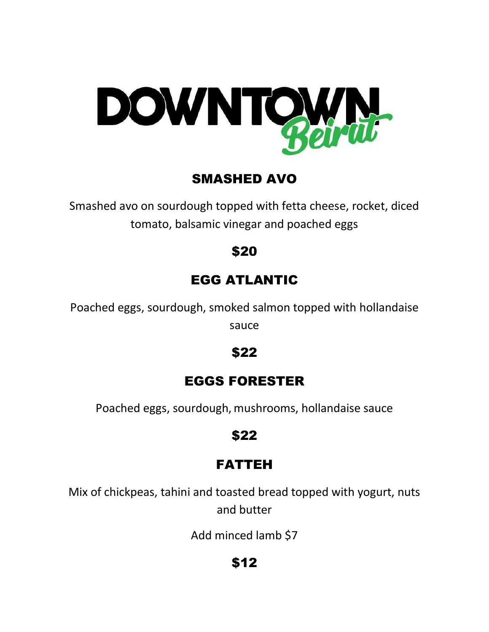

#### SMASHED AVO

Smashed avo on sourdough topped with fetta cheese, rocket, diced tomato, balsamic vinegar and poached eggs

#### \$20

# EGG ATLANTIC

Poached eggs, sourdough, smoked salmon topped with hollandaise sauce

#### \$22

#### EGGS FORESTER

Poached eggs, sourdough, mushrooms, hollandaise sauce

#### \$22

## FATTEH

Mix of chickpeas, tahini and toasted bread topped with yogurt, nuts and butter

Add minced lamb \$7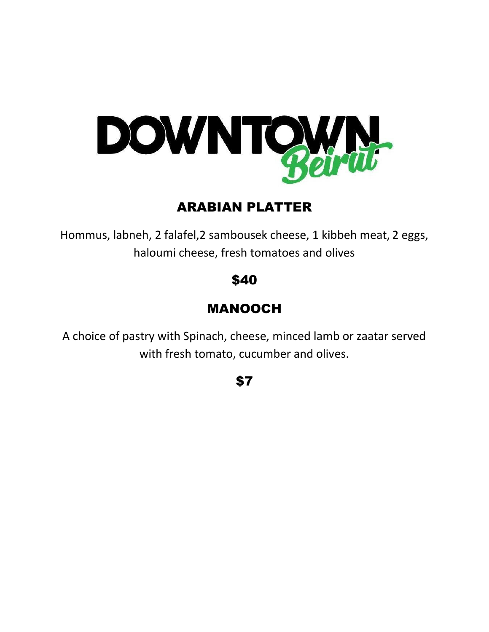

## ARABIAN PLATTER

Hommus, labneh, 2 falafel,2 sambousek cheese, 1 kibbeh meat, 2 eggs, haloumi cheese, fresh tomatoes and olives

#### \$40

# MANOOCH

A choice of pastry with Spinach, cheese, minced lamb or zaatar served with fresh tomato, cucumber and olives.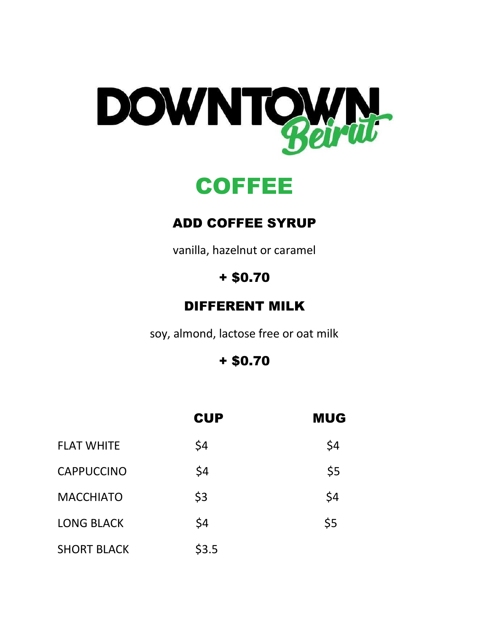



#### ADD COFFEE SYRUP

vanilla, hazelnut or caramel

# + \$0.70

#### DIFFERENT MILK

soy, almond, lactose free or oat milk

+ \$0.70

|                    | <b>CUP</b> | <b>MUG</b> |
|--------------------|------------|------------|
| <b>FLAT WHITE</b>  | \$4        | \$4        |
| <b>CAPPUCCINO</b>  | \$4        | \$5        |
| <b>MACCHIATO</b>   | \$3        | \$4        |
| <b>LONG BLACK</b>  | \$4        | \$5        |
| <b>SHORT BLACK</b> | \$3.5      |            |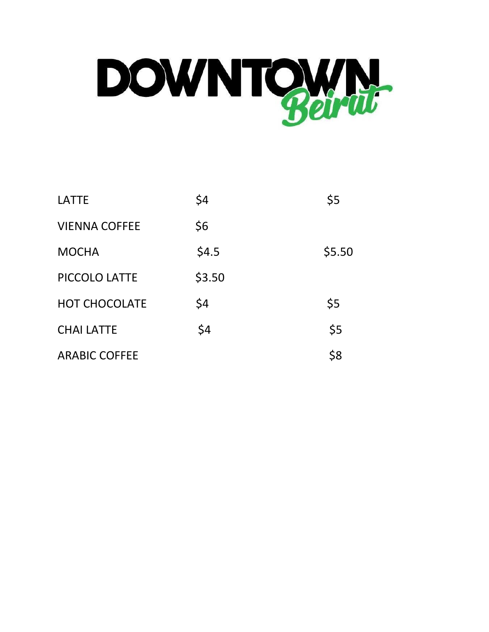

| <b>LATTE</b>         | \$4    | \$5    |
|----------------------|--------|--------|
| <b>VIENNA COFFEE</b> | \$6    |        |
| <b>MOCHA</b>         | \$4.5  | \$5.50 |
| PICCOLO LATTE        | \$3.50 |        |
| <b>HOT CHOCOLATE</b> | \$4    | \$5    |
| <b>CHAI LATTE</b>    | \$4    | \$5    |
| <b>ARABIC COFFEE</b> |        | \$8    |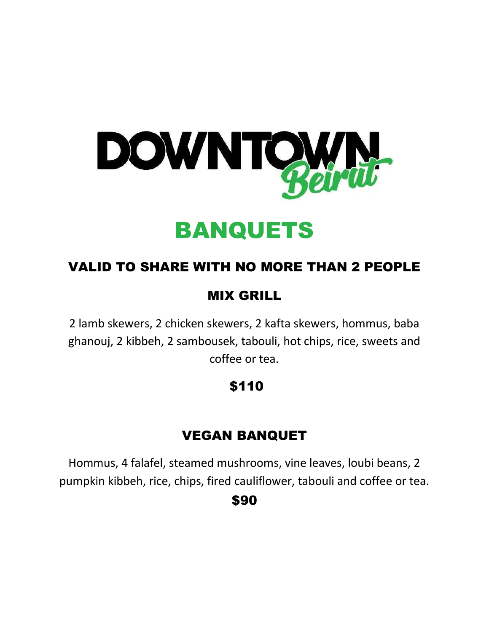

# BANQUETS

## VALID TO SHARE WITH NO MORE THAN 2 PEOPLE

## MIX GRILL

2 lamb skewers, 2 chicken skewers, 2 kafta skewers, hommus, baba ghanouj, 2 kibbeh, 2 sambousek, tabouli, hot chips, rice, sweets and coffee or tea.

# \$110

## VEGAN BANQUET

Hommus, 4 falafel, steamed mushrooms, vine leaves, loubi beans, 2 pumpkin kibbeh, rice, chips, fired cauliflower, tabouli and coffee or tea.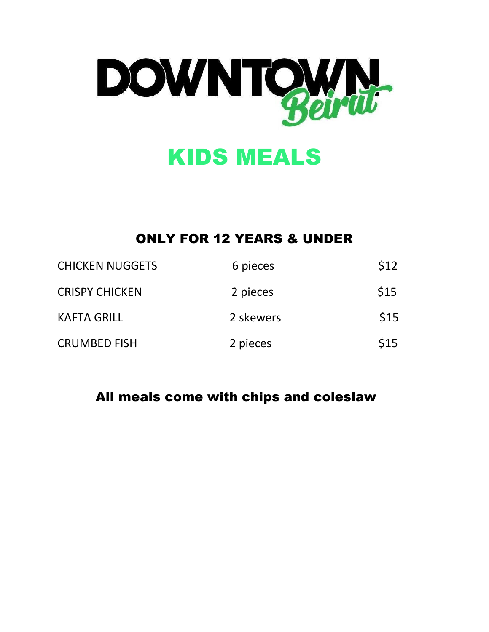

# KIDS MEALS

#### ONLY FOR 12 YEARS & UNDER

| <b>CHICKEN NUGGETS</b> | 6 pieces  | \$12 |
|------------------------|-----------|------|
| <b>CRISPY CHICKEN</b>  | 2 pieces  | \$15 |
| <b>KAFTA GRILL</b>     | 2 skewers | \$15 |
| <b>CRUMBED FISH</b>    | 2 pieces  | \$15 |

#### All meals come with chips and coleslaw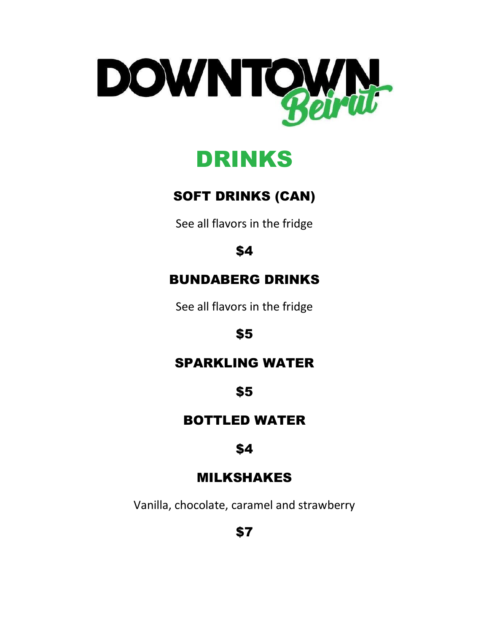



# SOFT DRINKS (CAN)

See all flavors in the fridge

# \$4

# BUNDABERG DRINKS

See all flavors in the fridge

#### \$5

#### SPARKLING WATER

#### \$5

#### BOTTLED WATER

#### \$4

#### MILKSHAKES

Vanilla, chocolate, caramel and strawberry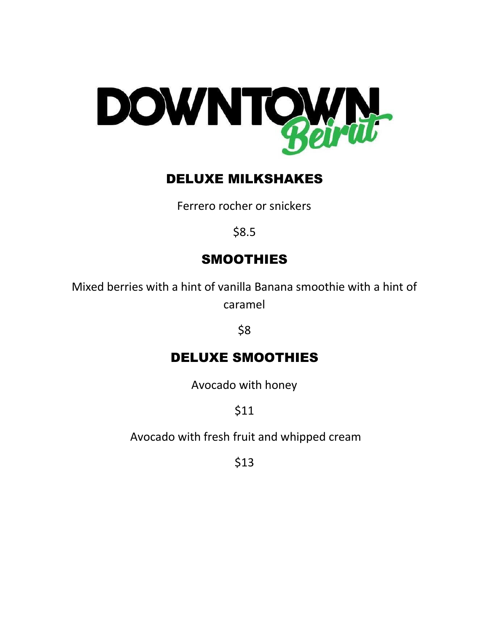

#### DELUXE MILKSHAKES

Ferrero rocher or snickers

\$8.5

# SMOOTHIES

Mixed berries with a hint of vanilla Banana smoothie with a hint of caramel

\$8

## DELUXE SMOOTHIES

Avocado with honey

\$11

Avocado with fresh fruit and whipped cream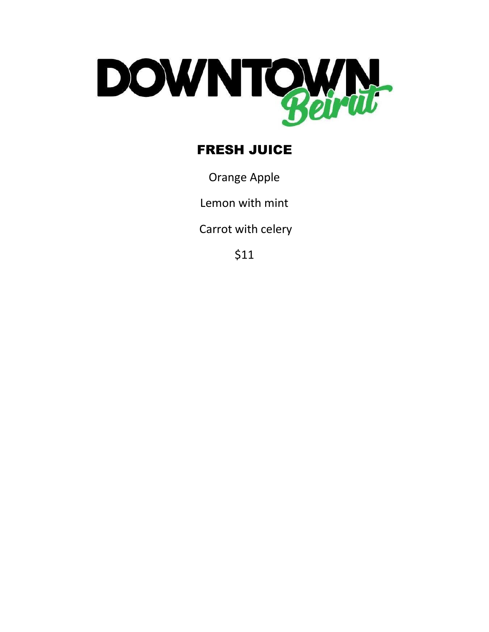

# **FRESH JUICE**

**Orange Apple** 

Lemon with mint

Carrot with celery